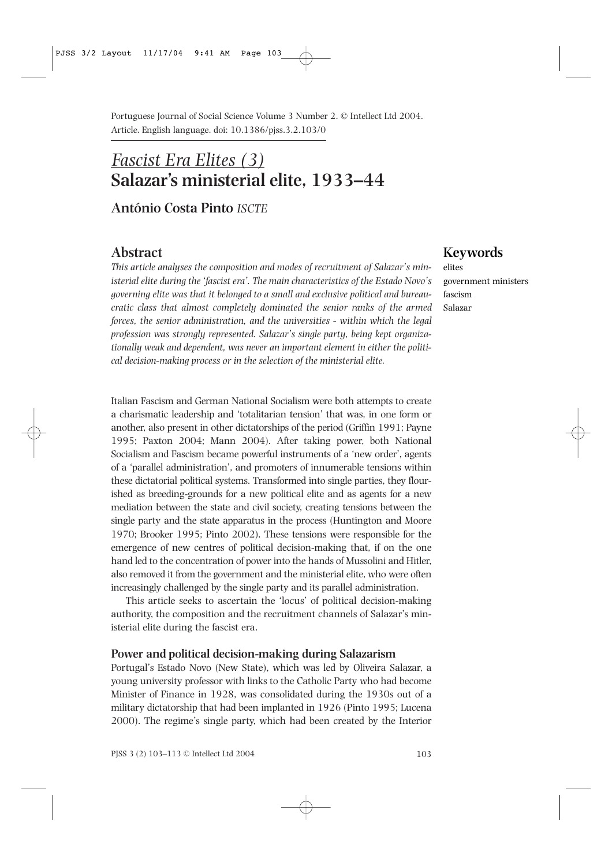# *Fascist Era Elites (3)* **Salazar's ministerial elite, 1933–44**

**António Costa Pinto** *ISCTE*

# **Abstract**

*This article analyses the composition and modes of recruitment of Salazar's ministerial elite during the 'fascist era'. The main characteristics of the Estado Novo's governing elite was that it belonged to a small and exclusive political and bureaucratic class that almost completely dominated the senior ranks of the armed forces, the senior administration, and the universities - within which the legal profession was strongly represented. Salazar's single party, being kept organizationally weak and dependent, was never an important element in either the political decision-making process or in the selection of the ministerial elite.*

Italian Fascism and German National Socialism were both attempts to create a charismatic leadership and 'totalitarian tension' that was, in one form or another, also present in other dictatorships of the period (Griffin 1991; Payne 1995; Paxton 2004; Mann 2004). After taking power, both National Socialism and Fascism became powerful instruments of a 'new order', agents of a 'parallel administration', and promoters of innumerable tensions within these dictatorial political systems. Transformed into single parties, they flourished as breeding-grounds for a new political elite and as agents for a new mediation between the state and civil society, creating tensions between the single party and the state apparatus in the process (Huntington and Moore 1970; Brooker 1995; Pinto 2002). These tensions were responsible for the emergence of new centres of political decision-making that, if on the one hand led to the concentration of power into the hands of Mussolini and Hitler, also removed it from the government and the ministerial elite, who were often increasingly challenged by the single party and its parallel administration.

This article seeks to ascertain the 'locus' of political decision-making authority, the composition and the recruitment channels of Salazar's ministerial elite during the fascist era.

# **Power and political decision-making during Salazarism**

Portugal's Estado Novo (New State), which was led by Oliveira Salazar, a young university professor with links to the Catholic Party who had become Minister of Finance in 1928, was consolidated during the 1930s out of a military dictatorship that had been implanted in 1926 (Pinto 1995; Lucena 2000). The regime's single party, which had been created by the Interior

# **Keywords**

elites government ministers fascism Salazar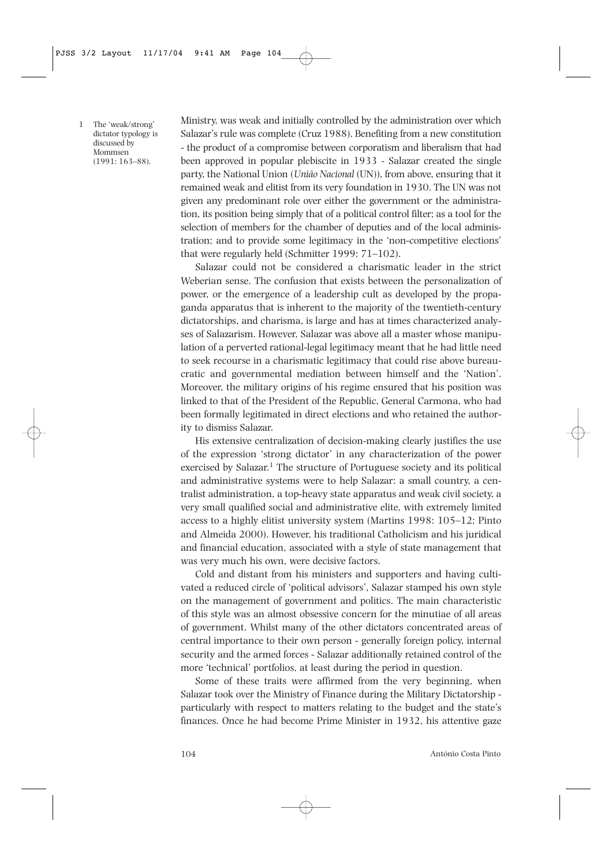1 The 'weak/strong' dictator typology is discussed by Mommsen (1991: 163–88).

Ministry, was weak and initially controlled by the administration over which Salazar's rule was complete (Cruz 1988). Benefiting from a new constitution - the product of a compromise between corporatism and liberalism that had been approved in popular plebiscite in 1933 - Salazar created the single party, the National Union (*União Nacional* (UN)), from above, ensuring that it remained weak and elitist from its very foundation in 1930. The UN was not given any predominant role over either the government or the administration, its position being simply that of a political control filter; as a tool for the selection of members for the chamber of deputies and of the local administration; and to provide some legitimacy in the 'non-competitive elections' that were regularly held (Schmitter 1999: 71–102).

Salazar could not be considered a charismatic leader in the strict Weberian sense. The confusion that exists between the personalization of power, or the emergence of a leadership cult as developed by the propaganda apparatus that is inherent to the majority of the twentieth-century dictatorships, and charisma, is large and has at times characterized analyses of Salazarism. However, Salazar was above all a master whose manipulation of a perverted rational-legal legitimacy meant that he had little need to seek recourse in a charismatic legitimacy that could rise above bureaucratic and governmental mediation between himself and the 'Nation'. Moreover, the military origins of his regime ensured that his position was linked to that of the President of the Republic, General Carmona, who had been formally legitimated in direct elections and who retained the authority to dismiss Salazar.

His extensive centralization of decision-making clearly justifies the use of the expression 'strong dictator' in any characterization of the power exercised by Salazar.<sup>1</sup> The structure of Portuguese society and its political and administrative systems were to help Salazar: a small country, a centralist administration, a top-heavy state apparatus and weak civil society, a very small qualified social and administrative elite, with extremely limited access to a highly elitist university system (Martins 1998: 105–12; Pinto and Almeida 2000). However, his traditional Catholicism and his juridical and financial education, associated with a style of state management that was very much his own, were decisive factors.

Cold and distant from his ministers and supporters and having cultivated a reduced circle of 'political advisors', Salazar stamped his own style on the management of government and politics. The main characteristic of this style was an almost obsessive concern for the minutiae of all areas of government. Whilst many of the other dictators concentrated areas of central importance to their own person - generally foreign policy, internal security and the armed forces - Salazar additionally retained control of the more 'technical' portfolios, at least during the period in question.

Some of these traits were affirmed from the very beginning, when Salazar took over the Ministry of Finance during the Military Dictatorship particularly with respect to matters relating to the budget and the state's finances. Once he had become Prime Minister in 1932, his attentive gaze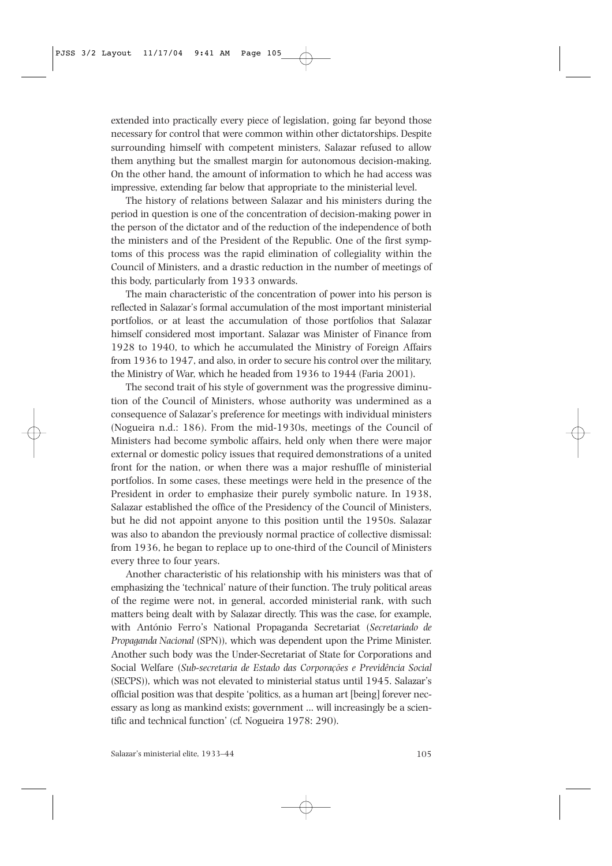extended into practically every piece of legislation, going far beyond those necessary for control that were common within other dictatorships. Despite surrounding himself with competent ministers, Salazar refused to allow them anything but the smallest margin for autonomous decision-making. On the other hand, the amount of information to which he had access was impressive, extending far below that appropriate to the ministerial level.

The history of relations between Salazar and his ministers during the period in question is one of the concentration of decision-making power in the person of the dictator and of the reduction of the independence of both the ministers and of the President of the Republic. One of the first symptoms of this process was the rapid elimination of collegiality within the Council of Ministers, and a drastic reduction in the number of meetings of this body, particularly from 1933 onwards.

The main characteristic of the concentration of power into his person is reflected in Salazar's formal accumulation of the most important ministerial portfolios, or at least the accumulation of those portfolios that Salazar himself considered most important. Salazar was Minister of Finance from 1928 to 1940, to which he accumulated the Ministry of Foreign Affairs from 1936 to 1947, and also, in order to secure his control over the military, the Ministry of War, which he headed from 1936 to 1944 (Faria 2001).

The second trait of his style of government was the progressive diminution of the Council of Ministers, whose authority was undermined as a consequence of Salazar's preference for meetings with individual ministers (Nogueira n.d.: 186). From the mid-1930s, meetings of the Council of Ministers had become symbolic affairs, held only when there were major external or domestic policy issues that required demonstrations of a united front for the nation, or when there was a major reshuffle of ministerial portfolios. In some cases, these meetings were held in the presence of the President in order to emphasize their purely symbolic nature. In 1938, Salazar established the office of the Presidency of the Council of Ministers, but he did not appoint anyone to this position until the 1950s. Salazar was also to abandon the previously normal practice of collective dismissal: from 1936, he began to replace up to one-third of the Council of Ministers every three to four years.

Another characteristic of his relationship with his ministers was that of emphasizing the 'technical' nature of their function. The truly political areas of the regime were not, in general, accorded ministerial rank, with such matters being dealt with by Salazar directly. This was the case, for example, with António Ferro's National Propaganda Secretariat (*Secretariado de Propaganda Nacional* (SPN)), which was dependent upon the Prime Minister. Another such body was the Under-Secretariat of State for Corporations and Social Welfare (*Sub-secretaria de Estado das Corporações e Previdência Social* (SECPS)), which was not elevated to ministerial status until 1945. Salazar's official position was that despite 'politics, as a human art [being] forever necessary as long as mankind exists; government ... will increasingly be a scientific and technical function' (cf. Nogueira 1978: 290).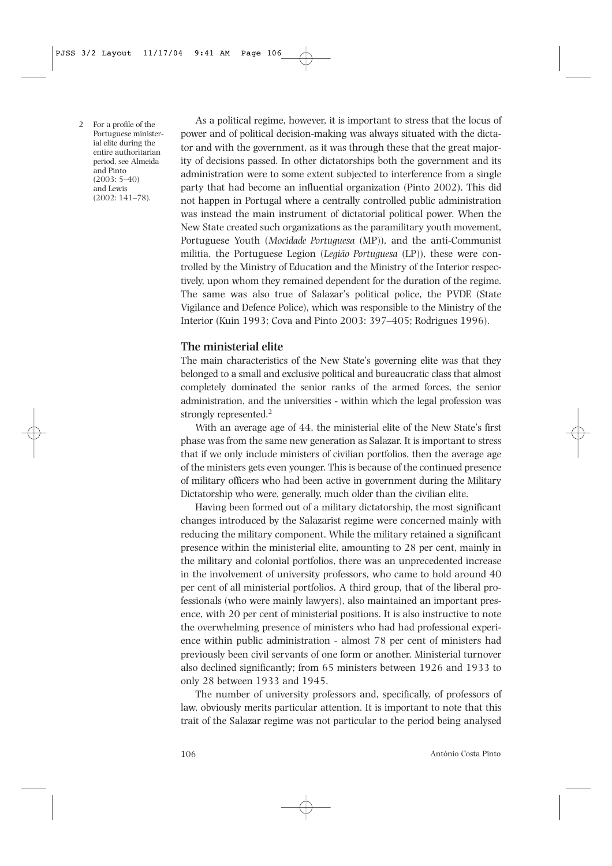2 For a profile of the Portuguese ministerial elite during the entire authoritarian period, see Almeida and Pinto  $(2003:5-40)$ and Lewis (2002: 141–78).

As a political regime, however, it is important to stress that the locus of power and of political decision-making was always situated with the dictator and with the government, as it was through these that the great majority of decisions passed. In other dictatorships both the government and its administration were to some extent subjected to interference from a single party that had become an influential organization (Pinto 2002). This did not happen in Portugal where a centrally controlled public administration was instead the main instrument of dictatorial political power. When the New State created such organizations as the paramilitary youth movement, Portuguese Youth (*Mocidade Portuguesa* (MP)), and the anti-Communist militia, the Portuguese Legion (*Legião Portuguesa* (LP)), these were controlled by the Ministry of Education and the Ministry of the Interior respectively, upon whom they remained dependent for the duration of the regime. The same was also true of Salazar's political police, the PVDE (State Vigilance and Defence Police), which was responsible to the Ministry of the Interior (Kuin 1993; Cova and Pinto 2003: 397–405; Rodrigues 1996).

## **The ministerial elite**

The main characteristics of the New State's governing elite was that they belonged to a small and exclusive political and bureaucratic class that almost completely dominated the senior ranks of the armed forces, the senior administration, and the universities - within which the legal profession was strongly represented.<sup>2</sup>

With an average age of 44, the ministerial elite of the New State's first phase was from the same new generation as Salazar. It is important to stress that if we only include ministers of civilian portfolios, then the average age of the ministers gets even younger. This is because of the continued presence of military officers who had been active in government during the Military Dictatorship who were, generally, much older than the civilian elite.

Having been formed out of a military dictatorship, the most significant changes introduced by the Salazarist regime were concerned mainly with reducing the military component. While the military retained a significant presence within the ministerial elite, amounting to 28 per cent, mainly in the military and colonial portfolios, there was an unprecedented increase in the involvement of university professors, who came to hold around 40 per cent of all ministerial portfolios. A third group, that of the liberal professionals (who were mainly lawyers), also maintained an important presence, with 20 per cent of ministerial positions. It is also instructive to note the overwhelming presence of ministers who had had professional experience within public administration - almost 78 per cent of ministers had previously been civil servants of one form or another. Ministerial turnover also declined significantly; from 65 ministers between 1926 and 1933 to only 28 between 1933 and 1945.

The number of university professors and, specifically, of professors of law, obviously merits particular attention. It is important to note that this trait of the Salazar regime was not particular to the period being analysed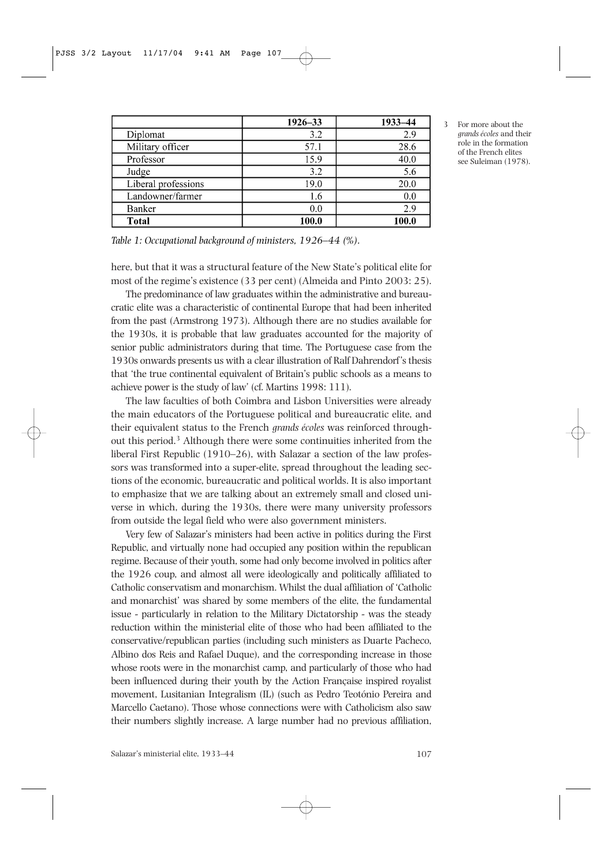|                     | $1926 - 33$ | 1933-44 |
|---------------------|-------------|---------|
| Diplomat            | 3.2         | 2.9     |
| Military officer    | 57.1        | 28.6    |
| Professor           | 15.9        | 40.0    |
| Judge               | 3.2         | 5.6     |
| Liberal professions | 19.0        | 20.0    |
| Landowner/farmer    | 1.6         | 0.0     |
| Banker              | 0.0         | 2.9     |
| <b>Total</b>        | 100.0       | 100.0   |

3 For more about the *grands écoles* and their role in the formation of the French elites see Suleiman (1978).

*Table 1: Occupational background of ministers, 1926–44 (%).*

here, but that it was a structural feature of the New State's political elite for most of the regime's existence (33 per cent) (Almeida and Pinto 2003: 25).

The predominance of law graduates within the administrative and bureaucratic elite was a characteristic of continental Europe that had been inherited from the past (Armstrong 1973). Although there are no studies available for the 1930s, it is probable that law graduates accounted for the majority of senior public administrators during that time. The Portuguese case from the 1930s onwards presents us with a clear illustration of Ralf Dahrendorf's thesis that 'the true continental equivalent of Britain's public schools as a means to achieve power is the study of law' (cf. Martins 1998: 111).

The law faculties of both Coimbra and Lisbon Universities were already the main educators of the Portuguese political and bureaucratic elite, and their equivalent status to the French *grands écoles* was reinforced throughout this period.3 Although there were some continuities inherited from the liberal First Republic (1910–26), with Salazar a section of the law professors was transformed into a super-elite, spread throughout the leading sections of the economic, bureaucratic and political worlds. It is also important to emphasize that we are talking about an extremely small and closed universe in which, during the 1930s, there were many university professors from outside the legal field who were also government ministers.

Very few of Salazar's ministers had been active in politics during the First Republic, and virtually none had occupied any position within the republican regime. Because of their youth, some had only become involved in politics after the 1926 coup, and almost all were ideologically and politically affiliated to Catholic conservatism and monarchism. Whilst the dual affiliation of 'Catholic and monarchist' was shared by some members of the elite, the fundamental issue - particularly in relation to the Military Dictatorship - was the steady reduction within the ministerial elite of those who had been affiliated to the conservative/republican parties (including such ministers as Duarte Pacheco, Albino dos Reis and Rafael Duque), and the corresponding increase in those whose roots were in the monarchist camp, and particularly of those who had been influenced during their youth by the Action Française inspired royalist movement, Lusitanian Integralism (IL) (such as Pedro Teotónio Pereira and Marcello Caetano). Those whose connections were with Catholicism also saw their numbers slightly increase. A large number had no previous affiliation,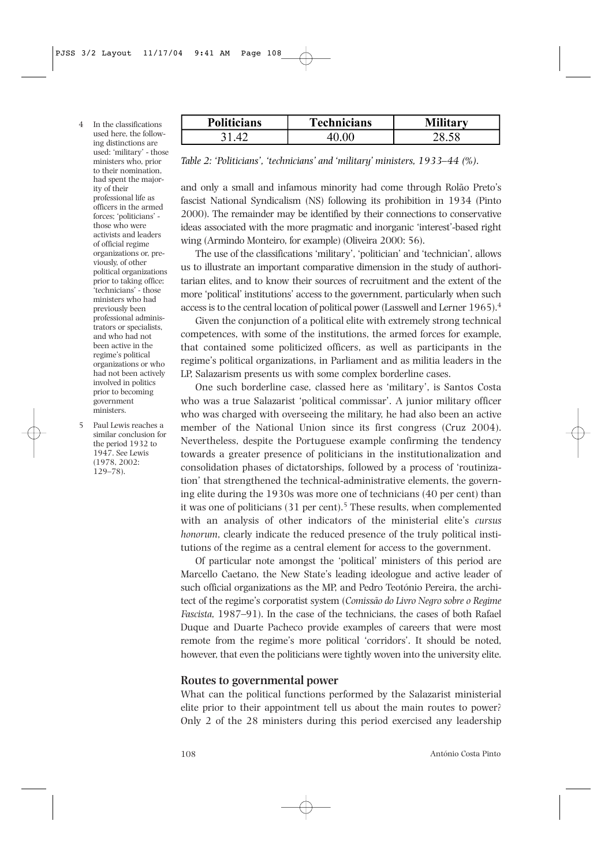4 In the classifications used here, the following distinctions are used: 'military' - those ministers who, prior to their nomination, had spent the majority of their professional life as officers in the armed forces; 'politicians' those who were activists and leaders of official regime organizations or, previously, of other political organizations prior to taking office; 'technicians' - those ministers who had previously been professional administrators or specialists, and who had not been active in the regime's political organizations or who had not been actively involved in politics prior to becoming government ministers.

5 Paul Lewis reaches a similar conclusion for the period 1932 to 1947. See Lewis (1978, 2002: 129–78).

| <b>Politicians</b> | <b>Technicians</b> | <b>Military</b> |
|--------------------|--------------------|-----------------|
|                    |                    |                 |

| Table 2: 'Politicians', 'technicians' and 'military' ministers, 1933–44 (%). |  |  |  |  |
|------------------------------------------------------------------------------|--|--|--|--|
|------------------------------------------------------------------------------|--|--|--|--|

and only a small and infamous minority had come through Rolão Preto's fascist National Syndicalism (NS) following its prohibition in 1934 (Pinto 2000). The remainder may be identified by their connections to conservative ideas associated with the more pragmatic and inorganic 'interest'-based right wing (Armindo Monteiro, for example) (Oliveira 2000: 56).

The use of the classifications 'military', 'politician' and 'technician', allows us to illustrate an important comparative dimension in the study of authoritarian elites, and to know their sources of recruitment and the extent of the more 'political' institutions' access to the government, particularly when such access is to the central location of political power (Lasswell and Lerner 1965).4

Given the conjunction of a political elite with extremely strong technical competences, with some of the institutions, the armed forces for example, that contained some politicized officers, as well as participants in the regime's political organizations, in Parliament and as militia leaders in the LP, Salazarism presents us with some complex borderline cases.

One such borderline case, classed here as 'military', is Santos Costa who was a true Salazarist 'political commissar'. A junior military officer who was charged with overseeing the military, he had also been an active member of the National Union since its first congress (Cruz 2004). Nevertheless, despite the Portuguese example confirming the tendency towards a greater presence of politicians in the institutionalization and consolidation phases of dictatorships, followed by a process of 'routinization' that strengthened the technical-administrative elements, the governing elite during the 1930s was more one of technicians (40 per cent) than it was one of politicians (31 per cent).<sup>5</sup> These results, when complemented with an analysis of other indicators of the ministerial elite's *cursus honorum*, clearly indicate the reduced presence of the truly political institutions of the regime as a central element for access to the government.

Of particular note amongst the 'political' ministers of this period are Marcello Caetano, the New State's leading ideologue and active leader of such official organizations as the MP, and Pedro Teotónio Pereira, the architect of the regime's corporatist system (*Comissão do Livro Negro sobre o Regime Fascista*, 1987–91). In the case of the technicians, the cases of both Rafael Duque and Duarte Pacheco provide examples of careers that were most remote from the regime's more political 'corridors'. It should be noted, however, that even the politicians were tightly woven into the university elite.

# **Routes to governmental power**

What can the political functions performed by the Salazarist ministerial elite prior to their appointment tell us about the main routes to power? Only 2 of the 28 ministers during this period exercised any leadership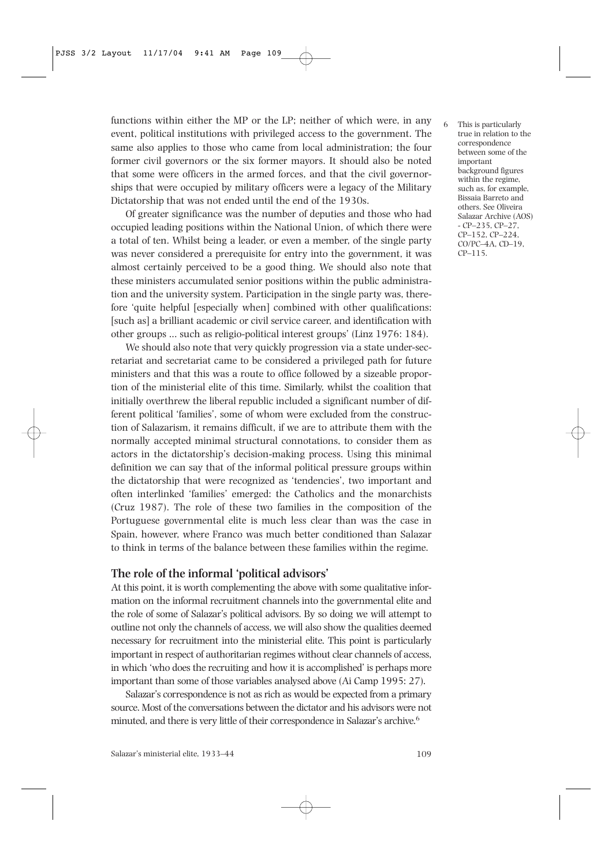functions within either the MP or the LP; neither of which were, in any event, political institutions with privileged access to the government. The same also applies to those who came from local administration; the four former civil governors or the six former mayors. It should also be noted that some were officers in the armed forces, and that the civil governorships that were occupied by military officers were a legacy of the Military Dictatorship that was not ended until the end of the 1930s.

Of greater significance was the number of deputies and those who had occupied leading positions within the National Union, of which there were a total of ten. Whilst being a leader, or even a member, of the single party was never considered a prerequisite for entry into the government, it was almost certainly perceived to be a good thing. We should also note that these ministers accumulated senior positions within the public administration and the university system. Participation in the single party was, therefore 'quite helpful [especially when] combined with other qualifications: [such as] a brilliant academic or civil service career, and identification with other groups ... such as religio-political interest groups' (Linz 1976: 184).

We should also note that very quickly progression via a state under-secretariat and secretariat came to be considered a privileged path for future ministers and that this was a route to office followed by a sizeable proportion of the ministerial elite of this time. Similarly, whilst the coalition that initially overthrew the liberal republic included a significant number of different political 'families', some of whom were excluded from the construction of Salazarism, it remains difficult, if we are to attribute them with the normally accepted minimal structural connotations, to consider them as actors in the dictatorship's decision-making process. Using this minimal definition we can say that of the informal political pressure groups within the dictatorship that were recognized as 'tendencies', two important and often interlinked 'families' emerged: the Catholics and the monarchists (Cruz 1987). The role of these two families in the composition of the Portuguese governmental elite is much less clear than was the case in Spain, however, where Franco was much better conditioned than Salazar to think in terms of the balance between these families within the regime.

## **The role of the informal 'political advisors'**

At this point, it is worth complementing the above with some qualitative information on the informal recruitment channels into the governmental elite and the role of some of Salazar's political advisors. By so doing we will attempt to outline not only the channels of access, we will also show the qualities deemed necessary for recruitment into the ministerial elite. This point is particularly important in respect of authoritarian regimes without clear channels of access, in which 'who does the recruiting and how it is accomplished' is perhaps more important than some of those variables analysed above (Ai Camp 1995: 27).

Salazar's correspondence is not as rich as would be expected from a primary source. Most of the conversations between the dictator and his advisors were not minuted, and there is very little of their correspondence in Salazar's archive.<sup>6</sup>

6 This is particularly true in relation to the correspondence between some of the important background figures within the regime, such as, for example, Bissaia Barreto and others. See Oliveira Salazar Archive (AOS) - CP–235, CP–27, CP–152, CP–224, CO/PC–4A, CD–19, CP–115.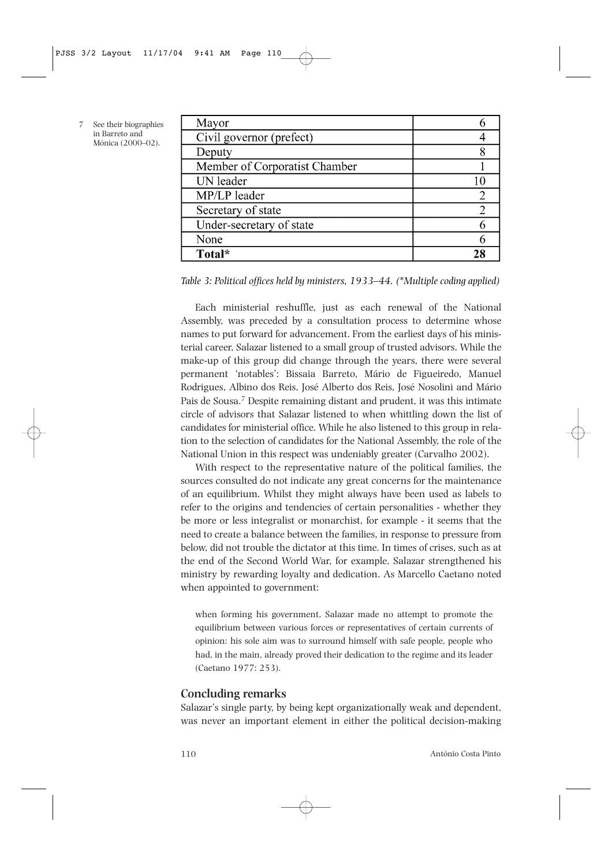See their biographies in Barreto and Mónica (2000–02).

| Mayor                         |  |
|-------------------------------|--|
| Civil governor (prefect)      |  |
| Deputy                        |  |
| Member of Corporatist Chamber |  |
| UN leader                     |  |
| MP/LP leader                  |  |
| Secretary of state            |  |
| Under-secretary of state      |  |
| None                          |  |
| Total*                        |  |

*Table 3: Political offices held by ministers, 1933–44. (\*Multiple coding applied)*

Each ministerial reshuffle, just as each renewal of the National Assembly, was preceded by a consultation process to determine whose names to put forward for advancement. From the earliest days of his ministerial career, Salazar listened to a small group of trusted advisors. While the make-up of this group did change through the years, there were several permanent 'notables': Bissaia Barreto, Mário de Figueiredo, Manuel Rodrigues, Albino dos Reis, José Alberto dos Reis, José Nosolini and Mário Pais de Sousa.7 Despite remaining distant and prudent, it was this intimate circle of advisors that Salazar listened to when whittling down the list of candidates for ministerial office. While he also listened to this group in relation to the selection of candidates for the National Assembly, the role of the National Union in this respect was undeniably greater (Carvalho 2002).

With respect to the representative nature of the political families, the sources consulted do not indicate any great concerns for the maintenance of an equilibrium. Whilst they might always have been used as labels to refer to the origins and tendencies of certain personalities - whether they be more or less integralist or monarchist, for example - it seems that the need to create a balance between the families, in response to pressure from below, did not trouble the dictator at this time. In times of crises, such as at the end of the Second World War, for example, Salazar strengthened his ministry by rewarding loyalty and dedication. As Marcello Caetano noted when appointed to government:

when forming his government, Salazar made no attempt to promote the equilibrium between various forces or representatives of certain currents of opinion: his sole aim was to surround himself with safe people, people who had, in the main, already proved their dedication to the regime and its leader (Caetano 1977: 253).

# **Concluding remarks**

Salazar's single party, by being kept organizationally weak and dependent, was never an important element in either the political decision-making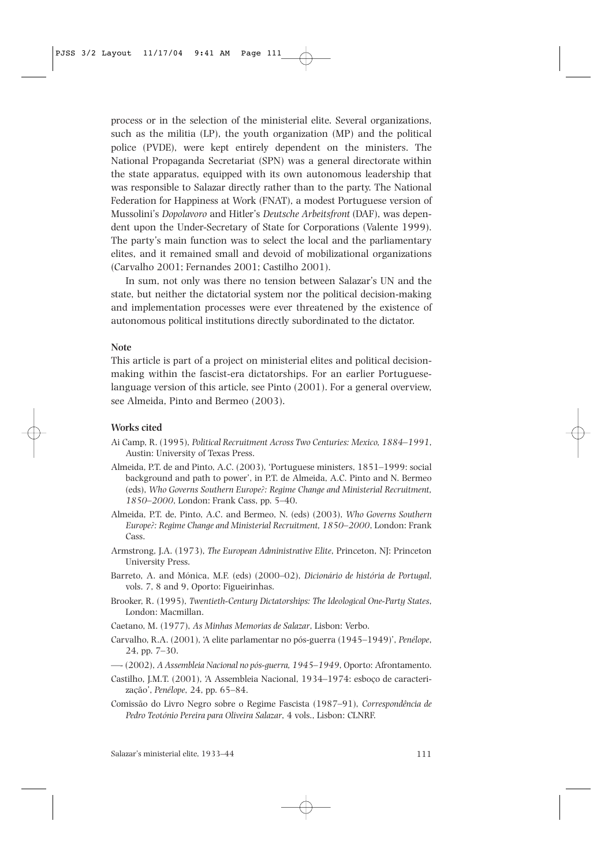process or in the selection of the ministerial elite. Several organizations, such as the militia (LP), the youth organization (MP) and the political police (PVDE), were kept entirely dependent on the ministers. The National Propaganda Secretariat (SPN) was a general directorate within the state apparatus, equipped with its own autonomous leadership that was responsible to Salazar directly rather than to the party. The National Federation for Happiness at Work (FNAT), a modest Portuguese version of Mussolini's *Dopolavoro* and Hitler's *Deutsche Arbeitsfront* (DAF), was dependent upon the Under-Secretary of State for Corporations (Valente 1999). The party's main function was to select the local and the parliamentary elites, and it remained small and devoid of mobilizational organizations (Carvalho 2001; Fernandes 2001; Castilho 2001).

In sum, not only was there no tension between Salazar's UN and the state, but neither the dictatorial system nor the political decision-making and implementation processes were ever threatened by the existence of autonomous political institutions directly subordinated to the dictator.

#### **Note**

This article is part of a project on ministerial elites and political decisionmaking within the fascist-era dictatorships. For an earlier Portugueselanguage version of this article, see Pinto (2001). For a general overview, see Almeida, Pinto and Bermeo (2003).

#### **Works cited**

- Ai Camp, R. (1995), *Political Recruitment Across Two Centuries: Mexico, 1884–1991*, Austin: University of Texas Press.
- Almeida, P.T. de and Pinto, A.C. (2003), 'Portuguese ministers, 1851–1999: social background and path to power', in P.T. de Almeida, A.C. Pinto and N. Bermeo (eds), *Who Governs Southern Europe?: Regime Change and Ministerial Recruitment, 1850–2000*, London: Frank Cass, pp. 5–40.
- Almeida, P.T. de, Pinto, A.C. and Bermeo, N. (eds) (2003), *Who Governs Southern Europe?: Regime Change and Ministerial Recruitment, 1850–2000*, London: Frank Cass.
- Armstrong, J.A. (1973), *The European Administrative Elite*, Princeton, NJ: Princeton University Press.
- Barreto, A. and Mónica, M.F. (eds) (2000–02), *Dicionário de história de Portugal*, vols. 7, 8 and 9, Oporto: Figueirinhas.
- Brooker, R. (1995), *Twentieth-Century Dictatorships: The Ideological One-Party States*, London: Macmillan.
- Caetano, M. (1977), *As Minhas Memorias de Salazar*, Lisbon: Verbo.
- Carvalho, R.A. (2001), 'A elite parlamentar no pós-guerra (1945–1949)', *Penélope*, 24, pp. 7–30.
- —- (2002), *A Assembleia Nacional no pós-guerra, 1945–1949*, Oporto: Afrontamento.
- Castilho, J.M.T. (2001), 'A Assembleia Nacional, 1934–1974: esboço de caracterização', *Penélope*, 24, pp. 65–84.
- Comissão do Livro Negro sobre o Regime Fascista (1987–91), *Correspondência de Pedro Teotónio Pereira para Oliveira Salazar*, 4 vols., Lisbon: CLNRF.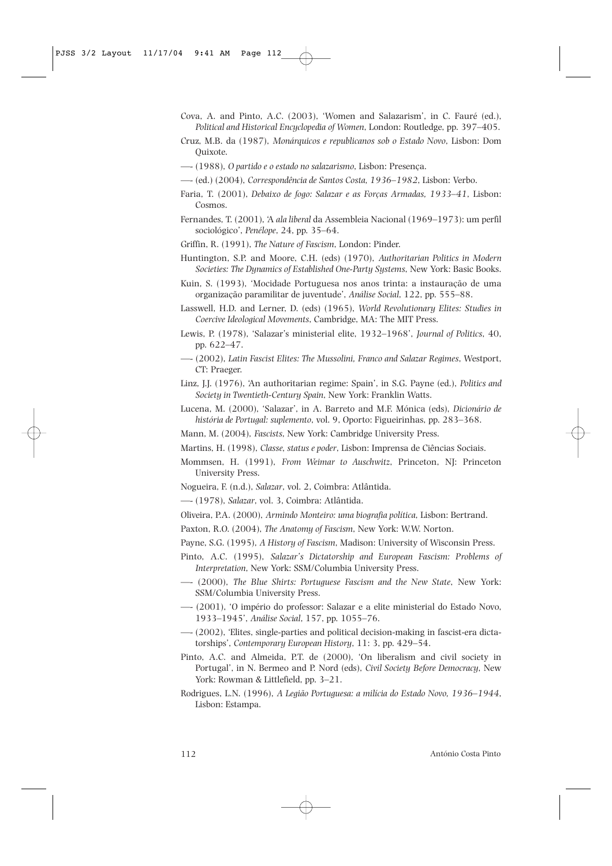- Cova, A. and Pinto, A.C. (2003), 'Women and Salazarism', in C. Fauré (ed.), *Political and Historical Encyclopedia of Women*, London: Routledge, pp. 397–405.
- Cruz, M.B. da (1987), *Monárquicos e republicanos sob o Estado Novo*, Lisbon: Dom Quixote.
- —- (1988), *O partido e o estado no salazarismo*, Lisbon: Presença.
- —- (ed.) (2004), *Correspondência de Santos Costa, 1936–1982*, Lisbon: Verbo.
- Faria, T. (2001), *Debaixo de fogo: Salazar e as Forças Armadas, 1933–41*, Lisbon: Cosmos.
- Fernandes, T. (2001), 'A *ala liberal* da Assembleia Nacional (1969–1973): um perfil sociológico', *Penélope*, 24, pp. 35–64.
- Griffin, R. (1991), *The Nature of Fascism*, London: Pinder.
- Huntington, S.P. and Moore, C.H. (eds) (1970), *Authoritarian Politics in Modern Societies: The Dynamics of Established One-Party Systems*, New York: Basic Books.
- Kuin, S. (1993), 'Mocidade Portuguesa nos anos trinta: a instauração de uma organização paramilitar de juventude', *Análise Social*, 122, pp. 555–88.
- Lasswell, H.D. and Lerner, D. (eds) (1965), *World Revolutionary Elites: Studies in Coercive Ideological Movements*, Cambridge, MA: The MIT Press.
- Lewis, P. (1978), 'Salazar's ministerial elite, 1932–1968', *Journal of Politics*, 40, pp. 622–47.
- —- (2002), *Latin Fascist Elites: The Mussolini, Franco and Salazar Regimes*, Westport, CT: Praeger.
- Linz, J.J. (1976), 'An authoritarian regime: Spain', in S.G. Payne (ed.), *Politics and Society in Twentieth-Century Spain*, New York: Franklin Watts.
- Lucena, M. (2000), 'Salazar', in A. Barreto and M.F. Mónica (eds), *Dicionário de história de Portugal: suplemento*, vol. 9, Oporto: Figueirinhas, pp. 283–368.
- Mann, M. (2004), *Fascists*, New York: Cambridge University Press.
- Martins, H. (1998), *Classe, status e poder*, Lisbon: Imprensa de Ciências Sociais.
- Mommsen, H. (1991), *From Weimar to Auschwitz*, Princeton, NJ: Princeton University Press.
- Nogueira, F. (n.d.), *Salazar*, vol. 2, Coimbra: Atlântida.
- —- (1978), *Salazar*, vol. 3, Coimbra: Atlântida.
- Oliveira, P.A. (2000), *Armindo Monteiro: uma biografia política*, Lisbon: Bertrand.
- Paxton, R.O. (2004), *The Anatomy of Fascism*, New York: W.W. Norton.
- Payne, S.G. (1995), *A History of Fascism*, Madison: University of Wisconsin Press.
- Pinto, A.C. (1995), *Salazar's Dictatorship and European Fascism: Problems of Interpretation*, New York: SSM/Columbia University Press.
- —- (2000), *The Blue Shirts: Portuguese Fascism and the New State*, New York: SSM/Columbia University Press.
- —- (2001), 'O império do professor: Salazar e a elite ministerial do Estado Novo, 1933–1945', *Análise Social*, 157, pp. 1055–76.
- —- (2002), 'Elites, single-parties and political decision-making in fascist-era dictatorships', *Contemporary European History*, 11: 3, pp. 429–54.
- Pinto, A.C. and Almeida, P.T. de (2000), 'On liberalism and civil society in Portugal', in N. Bermeo and P. Nord (eds), *Civil Society Before Democracy*, New York: Rowman & Littlefield, pp. 3–21.
- Rodrigues, L.N. (1996), *A Legião Portuguesa: a milícia do Estado Novo, 1936–1944*, Lisbon: Estampa.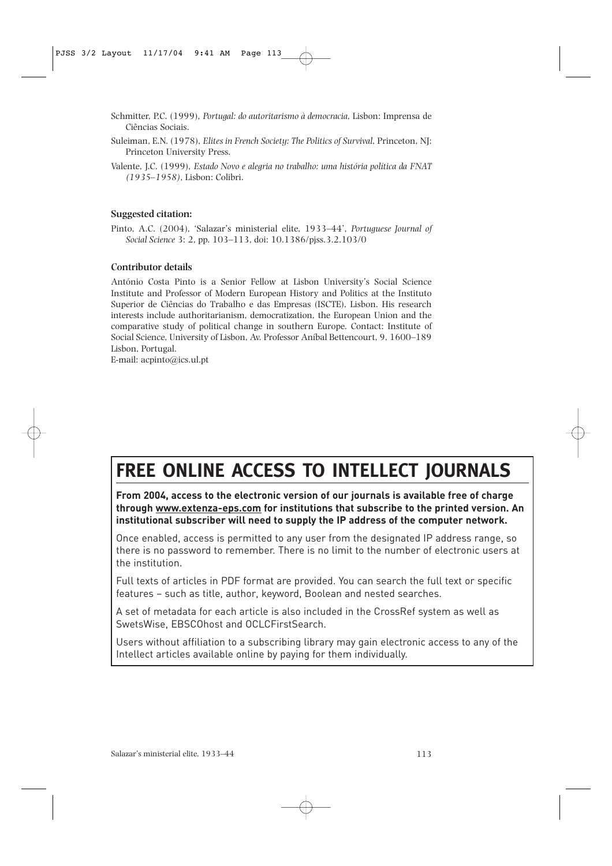- Schmitter, P.C. (1999), *Portugal: do autoritarismo à democracia*, Lisbon: Imprensa de Ciências Sociais.
- Suleiman, E.N. (1978), *Elites in French Society: The Politics of Survival*, Princeton, NJ: Princeton University Press.
- Valente, J.C. (1999), *Estado Novo e alegria no trabalho: uma história política da FNAT (1935–1958)*, Lisbon: Colibri.

#### **Suggested citation:**

Pinto, A.C. (2004), 'Salazar's ministerial elite, 1933–44', *Portuguese Journal of Social Science* 3: 2, pp. 103–113, doi: 10.1386/pjss.3.2.103/0

## **Contributor details**

António Costa Pinto is a Senior Fellow at Lisbon University's Social Science Institute and Professor of Modern European History and Politics at the Instituto Superior de Ciências do Trabalho e das Empresas (ISCTE), Lisbon. His research interests include authoritarianism, democratization, the European Union and the comparative study of political change in southern Europe. Contact: Institute of Social Science, University of Lisbon, Av. Professor Aníbal Bettencourt, 9, 1600–189 Lisbon, Portugal.

E-mail: acpinto@ics.ul.pt

# **FREE ONLINE ACCESS TO INTELLECT JOURNALS**

**From 2004, access to the electronic version of our journals is available free of charge through www.extenza-eps.com for institutions that subscribe to the printed version. An institutional subscriber will need to supply the IP address of the computer network.**

Once enabled, access is permitted to any user from the designated IP address range, so there is no password to remember. There is no limit to the number of electronic users at the institution.

Full texts of articles in PDF format are provided. You can search the full text or specific features – such as title, author, keyword, Boolean and nested searches.

A set of metadata for each article is also included in the CrossRef system as well as SwetsWise, EBSCOhost and OCLCFirstSearch.

Users without affiliation to a subscribing library may gain electronic access to any of the Intellect articles available online by paying for them individually.